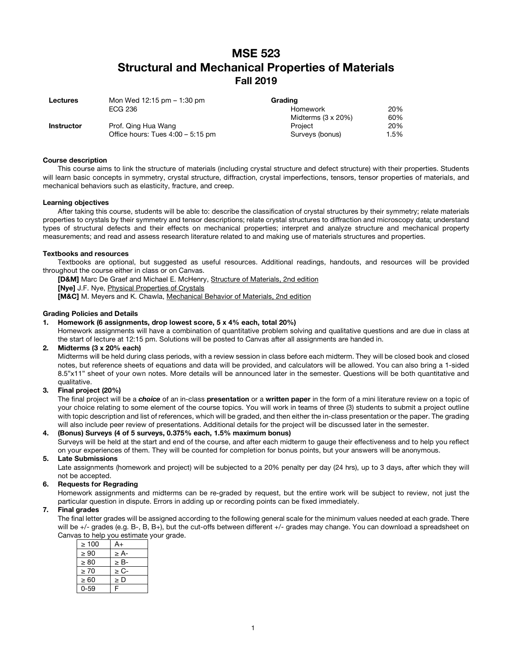# **MSE 523 Structural and Mechanical Properties of Materials Fall 2019**

| <b>Lectures</b>   | Mon Wed $12:15$ pm $-1:30$ pm       | Grading                    |      |
|-------------------|-------------------------------------|----------------------------|------|
|                   | ECG 236                             | Homework                   | 20%  |
|                   |                                     | Midterms $(3 \times 20\%)$ | 60%  |
| <b>Instructor</b> | Prof. Qing Hua Wang                 | Project                    | 20%  |
|                   | Office hours: Tues $4:00 - 5:15$ pm | Surveys (bonus)            | 1.5% |

#### **Course description**

This course aims to link the structure of materials (including crystal structure and defect structure) with their properties. Students will learn basic concepts in symmetry, crystal structure, diffraction, crystal imperfections, tensors, tensor properties of materials, and mechanical behaviors such as elasticity, fracture, and creep.

#### **Learning objectives**

After taking this course, students will be able to: describe the classification of crystal structures by their symmetry; relate materials properties to crystals by their symmetry and tensor descriptions; relate crystal structures to diffraction and microscopy data; understand types of structural defects and their effects on mechanical properties; interpret and analyze structure and mechanical property measurements; and read and assess research literature related to and making use of materials structures and properties.

#### **Textbooks and resources**

Textbooks are optional, but suggested as useful resources. Additional readings, handouts, and resources will be provided throughout the course either in class or on Canvas.

[D&M] Marc De Graef and Michael E. McHenry, Structure of Materials, 2nd edition

**[Nye]** J.F. Nye, Physical Properties of Crystals

**[M&C]** M. Meyers and K. Chawla, Mechanical Behavior of Materials, 2nd edition

#### **Grading Policies and Details**

# **1. Homework (6 assignments, drop lowest score, 5 x 4% each, total 20%)**

Homework assignments will have a combination of quantitative problem solving and qualitative questions and are due in class at the start of lecture at 12:15 pm. Solutions will be posted to Canvas after all assignments are handed in.

#### **2. Midterms (3 x 20% each)**

Midterms will be held during class periods, with a review session in class before each midterm. They will be closed book and closed notes, but reference sheets of equations and data will be provided, and calculators will be allowed. You can also bring a 1-sided 8.5"x11" sheet of your own notes. More details will be announced later in the semester. Questions will be both quantitative and qualitative.

# **3. Final project (20%)**

The final project will be a *choice* of an in-class **presentation** or a **written paper** in the form of a mini literature review on a topic of your choice relating to some element of the course topics. You will work in teams of three (3) students to submit a project outline with topic description and list of references, which will be graded, and then either the in-class presentation or the paper. The grading will also include peer review of presentations. Additional details for the project will be discussed later in the semester.

#### **4. (Bonus) Surveys (4 of 5 surveys, 0.375% each, 1.5% maximum bonus)**

Surveys will be held at the start and end of the course, and after each midterm to gauge their effectiveness and to help you reflect on your experiences of them. They will be counted for completion for bonus points, but your answers will be anonymous.

# **5. Late Submissions**

Late assignments (homework and project) will be subjected to a 20% penalty per day (24 hrs), up to 3 days, after which they will not be accepted.

#### **6. Requests for Regrading**

Homework assignments and midterms can be re-graded by request, but the entire work will be subject to review, not just the particular question in dispute. Errors in adding up or recording points can be fixed immediately.

#### **7. Final grades**

The final letter grades will be assigned according to the following general scale for the minimum values needed at each grade. There will be +/- grades (e.g. B-, B, B+), but the cut-offs between different +/- grades may change. You can download a spreadsheet on Canvas to help you estimate your grade.

| $\geq 100$ | A+        |
|------------|-----------|
| $\geq 90$  | $\geq$ A- |
| $\geq 80$  | $\geq$ B- |
| $\geq 70$  | $\geq$ C- |
| $\geq 60$  | $\geq D$  |
| በ-59       | F         |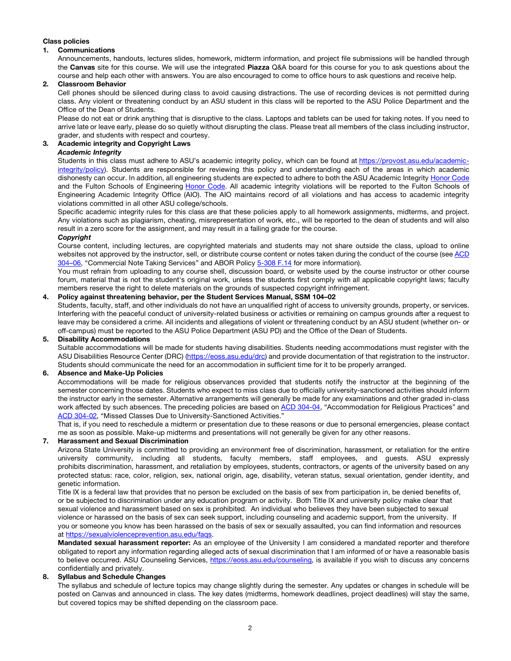# **Class policies**

#### **1. Communications**

Announcements, handouts, lectures slides, homework, midterm information, and project file submissions will be handled through the **Canvas** site for this course. We will use the integrated **Piazza** Q&A board for this course for you to ask questions about the course and help each other with answers. You are also encouraged to come to office hours to ask questions and receive help.

# **2. Classroom Behavior**

Cell phones should be silenced during class to avoid causing distractions. The use of recording devices is not permitted during class. Any violent or threatening conduct by an ASU student in this class will be reported to the ASU Police Department and the Office of the Dean of Students.

Please do not eat or drink anything that is disruptive to the class. Laptops and tablets can be used for taking notes. If you need to arrive late or leave early, please do so quietly without disrupting the class. Please treat all members of the class including instructor, grader, and students with respect and courtesy.

# **3. Academic integrity and Copyright Laws**

# *Academic Integrity*

Students in this class must adhere to ASU's academic integrity policy, which can be found at https://provost.asu.edu/academicintegrity/policy). Students are responsible for reviewing this policy and understanding each of the areas in which academic dishonesty can occur. In addition, all engineering students are expected to adhere to both the ASU Academic Integrity Honor Code and the Fulton Schools of Engineering Honor Code. All academic integrity violations will be reported to the Fulton Schools of Engineering Academic Integrity Office (AIO). The AIO maintains record of all violations and has access to academic integrity violations committed in all other ASU college/schools.

Specific academic integrity rules for this class are that these policies apply to all homework assignments, midterms, and project. Any violations such as plagiarism, cheating, misrepresentation of work, etc., will be reported to the dean of students and will also result in a zero score for the assignment, and may result in a failing grade for the course.

# *Copyright*

Course content, including lectures, are copyrighted materials and students may not share outside the class, upload to online websites not approved by the instructor, sell, or distribute course content or notes taken during the conduct of the course (see ACD 304–06, "Commercial Note Taking Services" and ABOR Policy 5-308 F.14 for more information).

You must refrain from uploading to any course shell, discussion board, or website used by the course instructor or other course forum, material that is not the student's original work, unless the students first comply with all applicable copyright laws; faculty members reserve the right to delete materials on the grounds of suspected copyright infringement.

# **4. Policy against threatening behavior, per the Student Services Manual, SSM 104–02**

Students, faculty, staff, and other individuals do not have an unqualified right of access to university grounds, property, or services. Interfering with the peaceful conduct of university-related business or activities or remaining on campus grounds after a request to leave may be considered a crime. All incidents and allegations of violent or threatening conduct by an ASU student (whether on- or off-campus) must be reported to the ASU Police Department (ASU PD) and the Office of the Dean of Students.

# **5. Disability Accommodations**

Suitable accommodations will be made for students having disabilities. Students needing accommodations must register with the ASU Disabilities Resource Center (DRC) (https://eoss.asu.edu/drc) and provide documentation of that registration to the instructor. Students should communicate the need for an accommodation in sufficient time for it to be properly arranged.

#### **6. Absence and Make-Up Policies**

Accommodations will be made for religious observances provided that students notify the instructor at the beginning of the semester concerning those dates. Students who expect to miss class due to officially university-sanctioned activities should inform the instructor early in the semester. Alternative arrangements will generally be made for any examinations and other graded in-class work affected by such absences. The preceding policies are based on ACD 304-04, "Accommodation for Religious Practices" and ACD 304-02, "Missed Classes Due to University-Sanctioned Activities."

That is, if you need to reschedule a midterm or presentation due to these reasons or due to personal emergencies, please contact me as soon as possible. Make-up midterms and presentations will not generally be given for any other reasons.

# **7. Harassment and Sexual Discrimination**

Arizona State University is committed to providing an environment free of discrimination, harassment, or retaliation for the entire university community, including all students, faculty members, staff employees, and guests. ASU expressly prohibits discrimination, harassment, and retaliation by employees, students, contractors, or agents of the university based on any protected status: race, color, religion, sex, national origin, age, disability, veteran status, sexual orientation, gender identity, and genetic information.

Title IX is a federal law that provides that no person be excluded on the basis of sex from participation in, be denied benefits of, or be subjected to discrimination under any education program or activity. Both Title IX and university policy make clear that sexual violence and harassment based on sex is prohibited. An individual who believes they have been subjected to sexual violence or harassed on the basis of sex can seek support, including counseling and academic support, from the university. If you or someone you know has been harassed on the basis of sex or sexually assaulted, you can find information and resources at https://sexualviolenceprevention.asu.edu/faqs.

**Mandated sexual harassment reporter:** As an employee of the University I am considered a mandated reporter and therefore obligated to report any information regarding alleged acts of sexual discrimination that I am informed of or have a reasonable basis to believe occurred. ASU Counseling Services, https://eoss.asu.edu/counseling, is available if you wish to discuss any concerns confidentially and privately.

# **8. Syllabus and Schedule Changes**

The syllabus and schedule of lecture topics may change slightly during the semester. Any updates or changes in schedule will be posted on Canvas and announced in class. The key dates (midterms, homework deadlines, project deadlines) will stay the same, but covered topics may be shifted depending on the classroom pace.